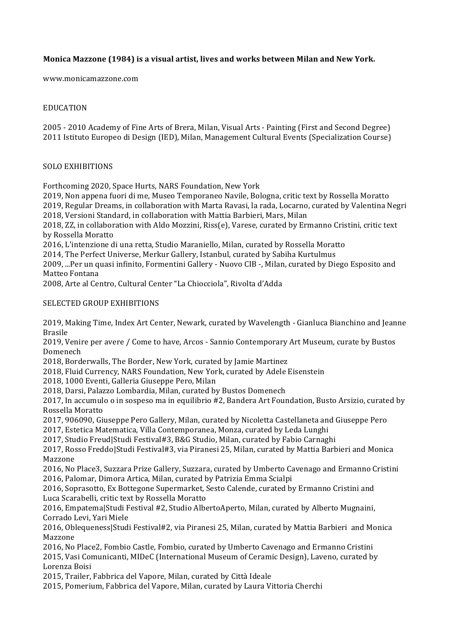# **Monica Mazzone (1984) is a visual artist, lives and works between Milan and New York.**

www.monicamazzone.com

### EDUCATION

2005 - 2010 Academy of Fine Arts of Brera, Milan, Visual Arts - Painting (First and Second Degree) 2011 Istituto Europeo di Design (IED), Milan, Management Cultural Events (Specialization Course)

## SOLO EXHIBITIONS

Forthcoming 2020, Space Hurts, NARS Foundation, New York

2019, Non appena fuori di me, Museo Temporaneo Navile, Bologna, critic text by Rossella Moratto 2019, Regular Dreams, in collaboration with Marta Ravasi, la rada, Locarno, curated by Valentina Negri

2018, Versioni Standard, in collaboration with Mattia Barbieri, Mars, Milan

 $2018$ , ZZ, in collaboration with Aldo Mozzini, Riss(e), Varese, curated by Ermanno Cristini, critic text by Rossella Moratto

2016, L'intenzione di una retta, Studio Maraniello, Milan, curated by Rossella Moratto

2014, The Perfect Universe, Merkur Gallery, Istanbul, curated by Sabiha Kurtulmus

2009, ...Per un quasi infinito, Formentini Gallery - Nuovo CIB -, Milan, curated by Diego Esposito and Matteo Fontana

2008, Arte al Centro, Cultural Center "La Chiocciola", Rivolta d'Adda

## SELECTED GROUP EXHIBITIONS

2019, Making Time, Index Art Center, Newark, curated by Wavelength - Gianluca Bianchino and Jeanne Brasile

2019, Venire per avere / Come to have, Arcos - Sannio Contemporary Art Museum, curate by Bustos Domenech

2018, Borderwalls, The Border, New York, curated by Jamie Martinez

2018. Fluid Currency, NARS Foundation, New York, curated by Adele Eisenstein

2018, 1000 Eventi, Galleria Giuseppe Pero, Milan

2018, Darsi, Palazzo Lombardia, Milan, curated by Bustos Domenech

2017, In accumulo o in sospeso ma in equilibrio #2, Bandera Art Foundation, Busto Arsizio, curated by Rossella Moratto

2017, 906090, Giuseppe Pero Gallery, Milan, curated by Nicoletta Castellaneta and Giuseppe Pero

2017, Estetica Matematica, Villa Contemporanea, Monza, curated by Leda Lunghi

2017, Studio Freud|Studi Festival#3, B&G Studio, Milan, curated by Fabio Carnaghi

2017, Rosso Freddo|Studi Festival#3, via Piranesi 25, Milan, curated by Mattia Barbieri and Monica Mazzone 

2016, No Place3, Suzzara Prize Gallery, Suzzara, curated by Umberto Cavenago and Ermanno Cristini 2016, Palomar, Dimora Artica, Milan, curated by Patrizia Emma Scialpi

2016, Soprasotto, Ex Bottegone Supermarket, Sesto Calende, curated by Ermanno Cristini and Luca Scarabelli, critic text by Rossella Moratto

2016, Empatema|Studi Festival #2, Studio AlbertoAperto, Milan, curated by Alberto Mugnaini, Corrado Levi, Yari Miele

2016, Oblequeness|Studi Festival#2, via Piranesi 25, Milan, curated by Mattia Barbieri and Monica Mazzone

2016, No Place2, Fombio Castle, Fombio, curated by Umberto Cavenago and Ermanno Cristini 2015, Vasi Comunicanti, MIDeC (International Museum of Ceramic Design), Laveno, curated by Lorenza Boisi

2015, Trailer, Fabbrica del Vapore, Milan, curated by Città Ideale

2015, Pomerium, Fabbrica del Vapore, Milan, curated by Laura Vittoria Cherchi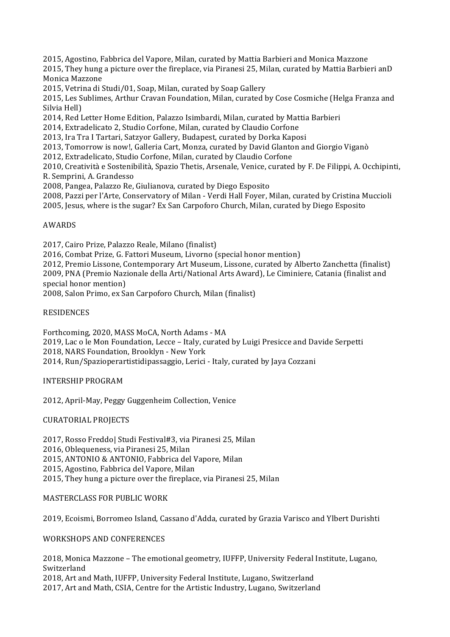2015, Agostino, Fabbrica del Vapore, Milan, curated by Mattia Barbieri and Monica Mazzone

2015, They hung a picture over the fireplace, via Piranesi 25, Milan, curated by Mattia Barbieri anD Monica Mazzone

2015, Vetrina di Studi/01, Soap, Milan, curated by Soap Gallery

2015, Les Sublimes, Arthur Cravan Foundation, Milan, curated by Cose Cosmiche (Helga Franza and Silvia Hell)

2014, Red Letter Home Edition, Palazzo Isimbardi, Milan, curated by Mattia Barbieri

2014, Extradelicato 2, Studio Corfone, Milan, curated by Claudio Corfone

2013, Ira Tra I Tartari, Satzyor Gallery, Budapest, curated by Dorka Kaposi

2013, Tomorrow is now!, Galleria Cart, Monza, curated by David Glanton and Giorgio Viganò

2012, Extradelicato, Studio Corfone, Milan, curated by Claudio Corfone

2010, Creatività e Sostenibilità, Spazio Thetis, Arsenale, Venice, curated by F. De Filippi, A. Occhipinti, R. Semprini, A. Grandesso

2008, Pangea, Palazzo Re, Giulianova, curated by Diego Esposito

2008, Pazzi per l'Arte, Conservatory of Milan - Verdi Hall Foyer, Milan, curated by Cristina Muccioli

2005, Jesus, where is the sugar? Ex San Carpoforo Church, Milan, curated by Diego Esposito

#### AWARDS

2017, Cairo Prize, Palazzo Reale, Milano (finalist)

2016, Combat Prize, G. Fattori Museum, Livorno (special honor mention)

2012, Premio Lissone, Contemporary Art Museum, Lissone, curated by Alberto Zanchetta (finalist) 2009, PNA (Premio Nazionale della Arti/National Arts Award), Le Ciminiere, Catania (finalist and special honor mention)

2008, Salon Primo, ex San Carpoforo Church, Milan (finalist)

#### RESIDENCES

Forthcoming, 2020, MASS MoCA, North Adams - MA

2019, Lac o le Mon Foundation, Lecce - Italy, curated by Luigi Presicce and Davide Serpetti 2018, NARS Foundation, Brooklyn - New York

2014, Run/Spazioperartistidipassaggio, Lerici - Italy, curated by Jaya Cozzani

INTERSHIP PROGRAM

2012, April-May, Peggy Guggenheim Collection, Venice

CURATORIAL PROJECTS

2017, Rosso Freddol Studi Festival#3, via Piranesi 25, Milan 2016, Oblequeness, via Piranesi 25, Milan 2015, ANTONIO & ANTONIO, Fabbrica del Vapore, Milan 2015, Agostino, Fabbrica del Vapore, Milan 2015, They hung a picture over the fireplace, via Piranesi 25, Milan

#### MASTERCLASS FOR PUBLIC WORK

2019, Ecoismi, Borromeo Island, Cassano d'Adda, curated by Grazia Varisco and Ylbert Durishti

## WORKSHOPS AND CONFERENCES

2018, Monica Mazzone – The emotional geometry, IUFFP, University Federal Institute, Lugano, Switzerland 2018, Art and Math, IUFFP, University Federal Institute, Lugano, Switzerland 2017, Art and Math, CSIA, Centre for the Artistic Industry, Lugano, Switzerland